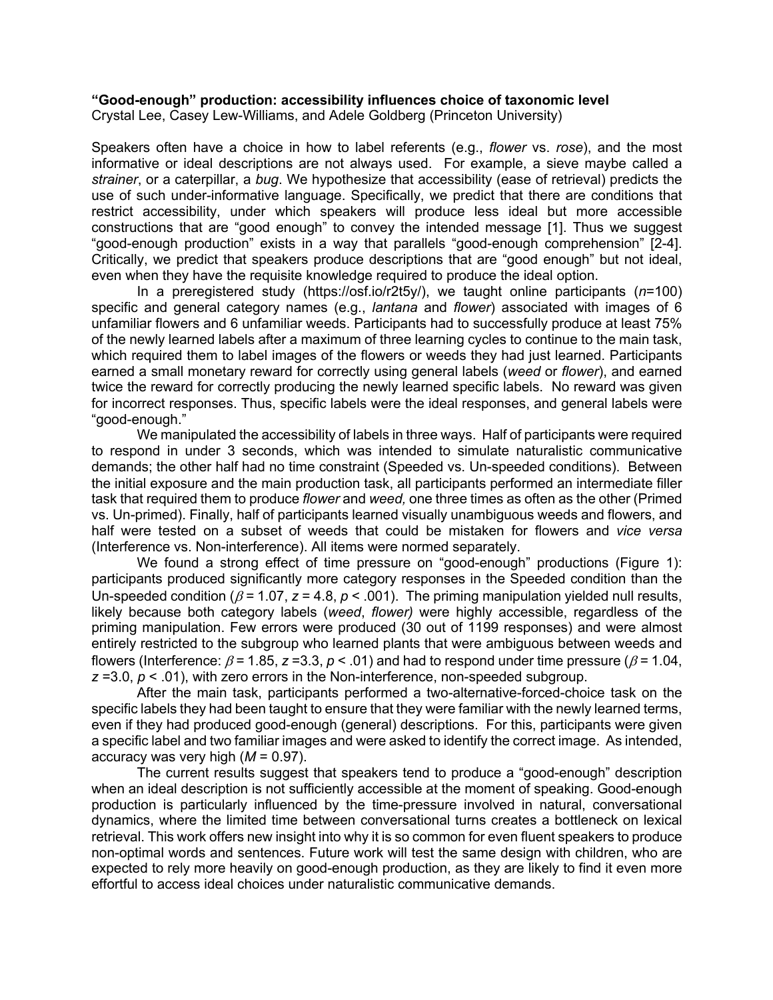## **"Good-enough" production: accessibility influences choice of taxonomic level**

Crystal Lee, Casey Lew-Williams, and Adele Goldberg (Princeton University)

Speakers often have a choice in how to label referents (e.g., *flower* vs. *rose*), and the most informative or ideal descriptions are not always used. For example, a sieve maybe called a *strainer*, or a caterpillar, a *bug*. We hypothesize that accessibility (ease of retrieval) predicts the use of such under-informative language. Specifically, we predict that there are conditions that restrict accessibility, under which speakers will produce less ideal but more accessible constructions that are "good enough" to convey the intended message [1]. Thus we suggest "good-enough production" exists in a way that parallels "good-enough comprehension" [2-4]. Critically, we predict that speakers produce descriptions that are "good enough" but not ideal, even when they have the requisite knowledge required to produce the ideal option.

In a preregistered study (https://osf.io/r2t5y/), we taught online participants (*n*=100) specific and general category names (e.g., *lantana* and *flower*) associated with images of 6 unfamiliar flowers and 6 unfamiliar weeds. Participants had to successfully produce at least 75% of the newly learned labels after a maximum of three learning cycles to continue to the main task, which required them to label images of the flowers or weeds they had just learned. Participants earned a small monetary reward for correctly using general labels (*weed* or *flower*), and earned twice the reward for correctly producing the newly learned specific labels. No reward was given for incorrect responses. Thus, specific labels were the ideal responses, and general labels were "good-enough."

We manipulated the accessibility of labels in three ways. Half of participants were required to respond in under 3 seconds, which was intended to simulate naturalistic communicative demands; the other half had no time constraint (Speeded vs. Un-speeded conditions). Between the initial exposure and the main production task, all participants performed an intermediate filler task that required them to produce *flower* and *weed,* one three times as often as the other (Primed vs. Un-primed). Finally, half of participants learned visually unambiguous weeds and flowers, and half were tested on a subset of weeds that could be mistaken for flowers and *vice versa* (Interference vs. Non-interference). All items were normed separately.

We found a strong effect of time pressure on "good-enough" productions (Figure 1): participants produced significantly more category responses in the Speeded condition than the Un-speeded condition ( $\beta$  = 1.07,  $z$  = 4.8,  $p$  < .001). The priming manipulation yielded null results, likely because both category labels (*weed*, *flower)* were highly accessible, regardless of the priming manipulation. Few errors were produced (30 out of 1199 responses) and were almost entirely restricted to the subgroup who learned plants that were ambiguous between weeds and flowers (Interference:  $\beta$  = 1.85, *z* = 3.3, *p* < .01) and had to respond under time pressure ( $\beta$  = 1.04,  $z = 3.0, p < .01$ ), with zero errors in the Non-interference, non-speeded subgroup.

After the main task, participants performed a two-alternative-forced-choice task on the specific labels they had been taught to ensure that they were familiar with the newly learned terms, even if they had produced good-enough (general) descriptions. For this, participants were given a specific label and two familiar images and were asked to identify the correct image. As intended, accuracy was very high (*M* = 0.97).

The current results suggest that speakers tend to produce a "good-enough" description when an ideal description is not sufficiently accessible at the moment of speaking. Good-enough production is particularly influenced by the time-pressure involved in natural, conversational dynamics, where the limited time between conversational turns creates a bottleneck on lexical retrieval. This work offers new insight into why it is so common for even fluent speakers to produce non-optimal words and sentences. Future work will test the same design with children, who are expected to rely more heavily on good-enough production, as they are likely to find it even more effortful to access ideal choices under naturalistic communicative demands.